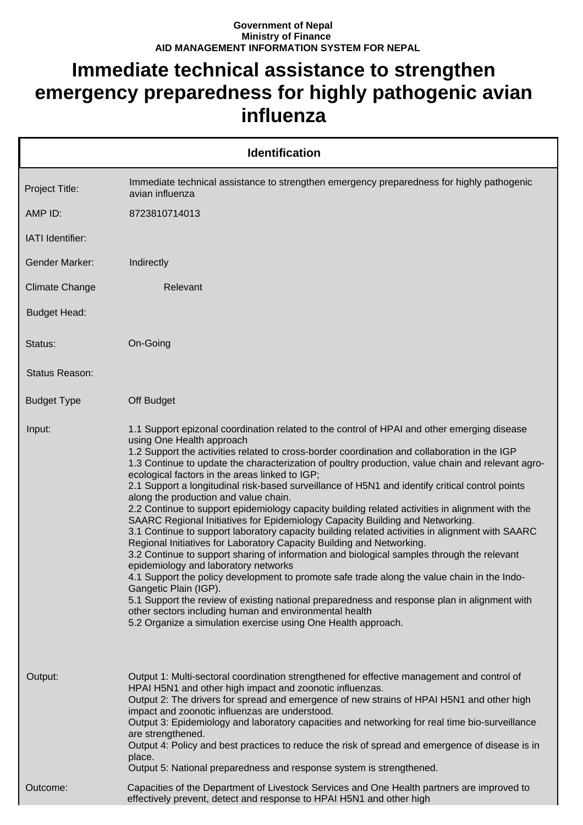## **Government of Nepal Ministry of Finance AID MANAGEMENT INFORMATION SYSTEM FOR NEPAL**

## **Immediate technical assistance to strengthen emergency preparedness for highly pathogenic avian influenza**

|                       | <b>Identification</b>                                                                                                                                                                                                                                                                                                                                                                                                                                                                                                                                                                                                                                                                                                                                                                                                                                                                                                                                                                                                                                                                                                                                                                                                                                                                                                                                                                |
|-----------------------|--------------------------------------------------------------------------------------------------------------------------------------------------------------------------------------------------------------------------------------------------------------------------------------------------------------------------------------------------------------------------------------------------------------------------------------------------------------------------------------------------------------------------------------------------------------------------------------------------------------------------------------------------------------------------------------------------------------------------------------------------------------------------------------------------------------------------------------------------------------------------------------------------------------------------------------------------------------------------------------------------------------------------------------------------------------------------------------------------------------------------------------------------------------------------------------------------------------------------------------------------------------------------------------------------------------------------------------------------------------------------------------|
| Project Title:        | Immediate technical assistance to strengthen emergency preparedness for highly pathogenic<br>avian influenza                                                                                                                                                                                                                                                                                                                                                                                                                                                                                                                                                                                                                                                                                                                                                                                                                                                                                                                                                                                                                                                                                                                                                                                                                                                                         |
| AMP ID:               | 8723810714013                                                                                                                                                                                                                                                                                                                                                                                                                                                                                                                                                                                                                                                                                                                                                                                                                                                                                                                                                                                                                                                                                                                                                                                                                                                                                                                                                                        |
| IATI Identifier:      |                                                                                                                                                                                                                                                                                                                                                                                                                                                                                                                                                                                                                                                                                                                                                                                                                                                                                                                                                                                                                                                                                                                                                                                                                                                                                                                                                                                      |
| <b>Gender Marker:</b> | Indirectly                                                                                                                                                                                                                                                                                                                                                                                                                                                                                                                                                                                                                                                                                                                                                                                                                                                                                                                                                                                                                                                                                                                                                                                                                                                                                                                                                                           |
| <b>Climate Change</b> | Relevant                                                                                                                                                                                                                                                                                                                                                                                                                                                                                                                                                                                                                                                                                                                                                                                                                                                                                                                                                                                                                                                                                                                                                                                                                                                                                                                                                                             |
| <b>Budget Head:</b>   |                                                                                                                                                                                                                                                                                                                                                                                                                                                                                                                                                                                                                                                                                                                                                                                                                                                                                                                                                                                                                                                                                                                                                                                                                                                                                                                                                                                      |
| Status:               | On-Going                                                                                                                                                                                                                                                                                                                                                                                                                                                                                                                                                                                                                                                                                                                                                                                                                                                                                                                                                                                                                                                                                                                                                                                                                                                                                                                                                                             |
| Status Reason:        |                                                                                                                                                                                                                                                                                                                                                                                                                                                                                                                                                                                                                                                                                                                                                                                                                                                                                                                                                                                                                                                                                                                                                                                                                                                                                                                                                                                      |
| <b>Budget Type</b>    | Off Budget                                                                                                                                                                                                                                                                                                                                                                                                                                                                                                                                                                                                                                                                                                                                                                                                                                                                                                                                                                                                                                                                                                                                                                                                                                                                                                                                                                           |
| Input:                | 1.1 Support epizonal coordination related to the control of HPAI and other emerging disease<br>using One Health approach<br>1.2 Support the activities related to cross-border coordination and collaboration in the IGP<br>1.3 Continue to update the characterization of poultry production, value chain and relevant agro-<br>ecological factors in the areas linked to IGP;<br>2.1 Support a longitudinal risk-based surveillance of H5N1 and identify critical control points<br>along the production and value chain.<br>2.2 Continue to support epidemiology capacity building related activities in alignment with the<br>SAARC Regional Initiatives for Epidemiology Capacity Building and Networking.<br>3.1 Continue to support laboratory capacity building related activities in alignment with SAARC<br>Regional Initiatives for Laboratory Capacity Building and Networking.<br>3.2 Continue to support sharing of information and biological samples through the relevant<br>epidemiology and laboratory networks<br>4.1 Support the policy development to promote safe trade along the value chain in the Indo-<br>Gangetic Plain (IGP).<br>5.1 Support the review of existing national preparedness and response plan in alignment with<br>other sectors including human and environmental health<br>5.2 Organize a simulation exercise using One Health approach. |
| Output:               | Output 1: Multi-sectoral coordination strengthened for effective management and control of<br>HPAI H5N1 and other high impact and zoonotic influenzas.<br>Output 2: The drivers for spread and emergence of new strains of HPAI H5N1 and other high<br>impact and zoonotic influenzas are understood.<br>Output 3: Epidemiology and laboratory capacities and networking for real time bio-surveillance<br>are strengthened.<br>Output 4: Policy and best practices to reduce the risk of spread and emergence of disease is in<br>place.<br>Output 5: National preparedness and response system is strengthened.                                                                                                                                                                                                                                                                                                                                                                                                                                                                                                                                                                                                                                                                                                                                                                    |
| Outcome:              | Capacities of the Department of Livestock Services and One Health partners are improved to<br>effectively prevent, detect and response to HPAI H5N1 and other high                                                                                                                                                                                                                                                                                                                                                                                                                                                                                                                                                                                                                                                                                                                                                                                                                                                                                                                                                                                                                                                                                                                                                                                                                   |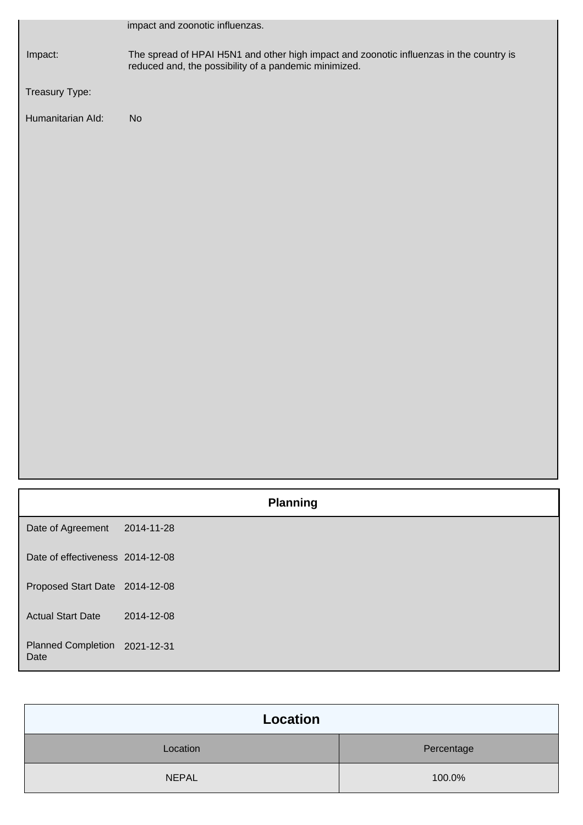|                                   | impact and zoonotic influenzas.                                                                                                                  |
|-----------------------------------|--------------------------------------------------------------------------------------------------------------------------------------------------|
| Impact:                           | The spread of HPAI H5N1 and other high impact and zoonotic influenzas in the country is<br>reduced and, the possibility of a pandemic minimized. |
| Treasury Type:                    |                                                                                                                                                  |
| Humanitarian Ald:                 | No                                                                                                                                               |
|                                   |                                                                                                                                                  |
|                                   |                                                                                                                                                  |
|                                   |                                                                                                                                                  |
|                                   |                                                                                                                                                  |
|                                   |                                                                                                                                                  |
|                                   |                                                                                                                                                  |
|                                   |                                                                                                                                                  |
|                                   |                                                                                                                                                  |
|                                   |                                                                                                                                                  |
|                                   |                                                                                                                                                  |
|                                   |                                                                                                                                                  |
|                                   |                                                                                                                                                  |
|                                   |                                                                                                                                                  |
|                                   |                                                                                                                                                  |
|                                   | <b>Planning</b>                                                                                                                                  |
| Date of Agreement                 | 2014-11-28                                                                                                                                       |
| Date of effectiveness 2014-12-08  |                                                                                                                                                  |
| Proposed Start Date 2014-12-08    |                                                                                                                                                  |
| <b>Actual Start Date</b>          | 2014-12-08                                                                                                                                       |
| <b>Planned Completion</b><br>Date | 2021-12-31                                                                                                                                       |

| Location     |            |
|--------------|------------|
| Location     | Percentage |
| <b>NEPAL</b> | 100.0%     |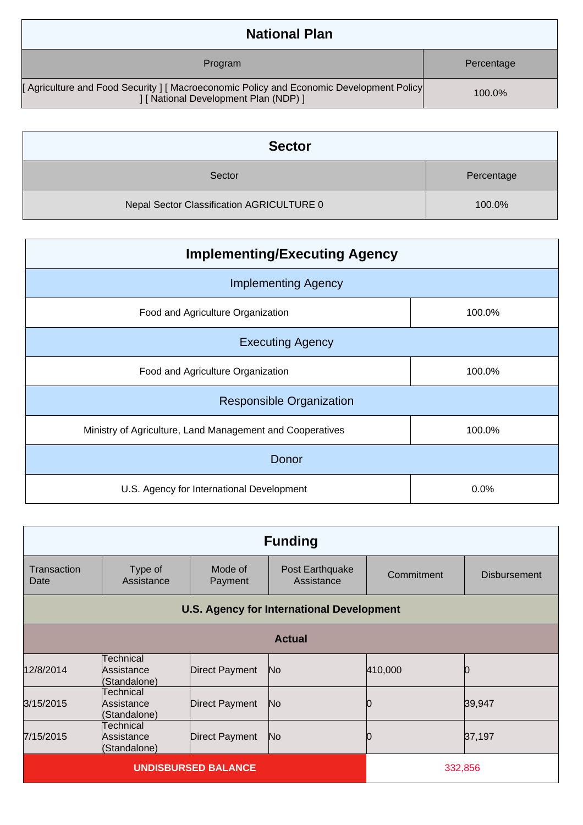| <b>National Plan</b>                                                                                                           |            |
|--------------------------------------------------------------------------------------------------------------------------------|------------|
| Program                                                                                                                        | Percentage |
| [Agriculture and Food Security] [Macroeconomic Policy and Economic Development Policy<br>] [ National Development Plan (NDP) ] | 100.0%     |

| <b>Sector</b>                             |            |
|-------------------------------------------|------------|
| Sector                                    | Percentage |
| Nepal Sector Classification AGRICULTURE 0 | 100.0%     |

| <b>Implementing/Executing Agency</b>                      |        |  |  |  |
|-----------------------------------------------------------|--------|--|--|--|
| <b>Implementing Agency</b>                                |        |  |  |  |
| Food and Agriculture Organization                         | 100.0% |  |  |  |
| <b>Executing Agency</b>                                   |        |  |  |  |
| Food and Agriculture Organization                         | 100.0% |  |  |  |
| <b>Responsible Organization</b>                           |        |  |  |  |
| Ministry of Agriculture, Land Management and Cooperatives | 100.0% |  |  |  |
| Donor                                                     |        |  |  |  |
| U.S. Agency for International Development                 | 0.0%   |  |  |  |

| <b>Funding</b>                                   |                                         |                    |                               |            |                     |
|--------------------------------------------------|-----------------------------------------|--------------------|-------------------------------|------------|---------------------|
| Transaction<br>Date                              | Type of<br>Assistance                   | Mode of<br>Payment | Post Earthquake<br>Assistance | Commitment | <b>Disbursement</b> |
| <b>U.S. Agency for International Development</b> |                                         |                    |                               |            |                     |
|                                                  |                                         |                    | <b>Actual</b>                 |            |                     |
| 12/8/2014                                        | Technical<br>Assistance<br>(Standalone) | Direct Payment     | N <sub>o</sub>                | 410,000    |                     |
| 3/15/2015                                        | Technical<br>Assistance<br>(Standalone) | Direct Payment     | N <sub>o</sub>                | O          | 39,947              |
| 7/15/2015                                        | Technical<br>Assistance<br>(Standalone) | Direct Payment     | N <sub>o</sub>                |            | 37,197              |
| <b>UNDISBURSED BALANCE</b>                       |                                         |                    | 332,856                       |            |                     |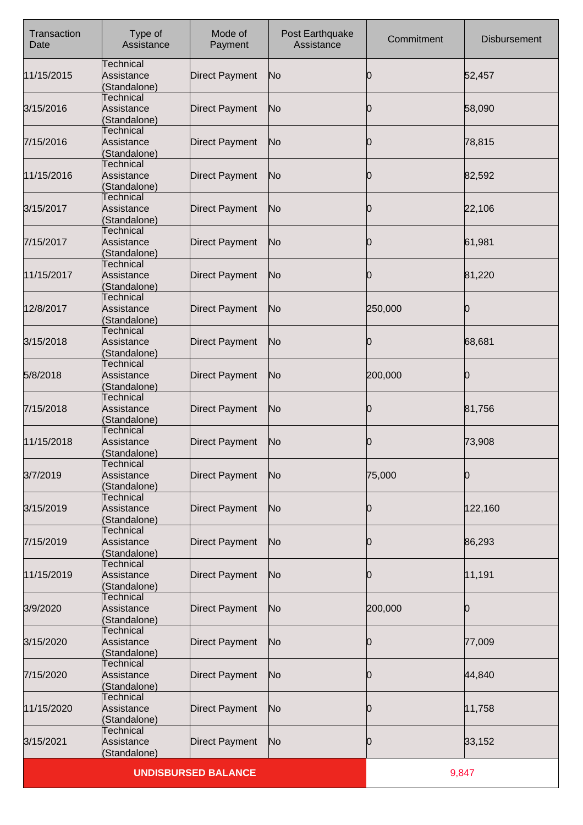| Transaction<br>Date | Type of<br>Assistance                          | Mode of<br>Payment         | Post Earthquake<br>Assistance | Commitment | <b>Disbursement</b> |
|---------------------|------------------------------------------------|----------------------------|-------------------------------|------------|---------------------|
| 11/15/2015          | Technical<br>Assistance<br>(Standalone)        | <b>Direct Payment</b>      | No                            | 10         | 52,457              |
| 3/15/2016           | Technical<br>Assistance<br>(Standalone)        | <b>Direct Payment</b>      | No                            | 10         | 58,090              |
| 7/15/2016           | Technical<br>Assistance<br>(Standalone)        | <b>Direct Payment</b>      | No                            | Ю          | 78,815              |
| 11/15/2016          | Technical<br>Assistance<br>(Standalone)        | <b>Direct Payment</b>      | No                            | 0          | 82,592              |
| 3/15/2017           | Technical<br>Assistance<br>(Standalone)        | <b>Direct Payment</b>      | No                            | 10         | 22,106              |
| 7/15/2017           | <b>Technical</b><br>Assistance<br>(Standalone) | <b>Direct Payment</b>      | No                            | Ю          | 61,981              |
| 11/15/2017          | Technical<br>Assistance<br>(Standalone)        | <b>Direct Payment</b>      | No                            | 0          | 81,220              |
| 12/8/2017           | Technical<br>Assistance<br>(Standalone)        | <b>Direct Payment</b>      | No                            | 250,000    | n                   |
| 3/15/2018           | Technical<br>Assistance<br>(Standalone)        | <b>Direct Payment</b>      | No                            | Ю          | 68,681              |
| 5/8/2018            | Technical<br>Assistance<br>(Standalone)        | <b>Direct Payment</b>      | No                            | 200,000    | 0                   |
| 7/15/2018           | Technical<br>Assistance<br>(Standalone)        | <b>Direct Payment</b>      | No                            | 0          | 81,756              |
| 11/15/2018          | <b>Technical</b><br>Assistance<br>(Standalone) | <b>Direct Payment</b>      | No                            | Ю          | 73,908              |
| 3/7/2019            | <b>Technical</b><br>Assistance<br>(Standalone) | <b>Direct Payment</b>      | No                            | 75,000     | Ю                   |
| 3/15/2019           | Technical<br>Assistance<br>(Standalone)        | <b>Direct Payment</b>      | No                            | Ю          | 122,160             |
| 7/15/2019           | <b>Technical</b><br>Assistance<br>(Standalone) | <b>Direct Payment</b>      | No                            | Ю          | 86,293              |
| 11/15/2019          | Technical<br>Assistance<br>(Standalone)        | <b>Direct Payment</b>      | No                            | 0          | 11,191              |
| 3/9/2020            | Technical<br>Assistance<br>(Standalone)        | <b>Direct Payment</b>      | No                            | 200,000    | Ю                   |
| 3/15/2020           | <b>Technical</b><br>Assistance<br>(Standalone) | <b>Direct Payment</b>      | No                            | Ю          | 77,009              |
| 7/15/2020           | Technical<br>Assistance<br>(Standalone)        | <b>Direct Payment</b>      | No                            | 0          | 44,840              |
| 11/15/2020          | Technical<br>Assistance<br>(Standalone)        | <b>Direct Payment</b>      | No                            | Ю          | 11,758              |
| 3/15/2021           | <b>Technical</b><br>Assistance<br>(Standalone) | <b>Direct Payment</b>      | No                            | 10         | 33,152              |
|                     |                                                | <b>UNDISBURSED BALANCE</b> |                               |            | 9,847               |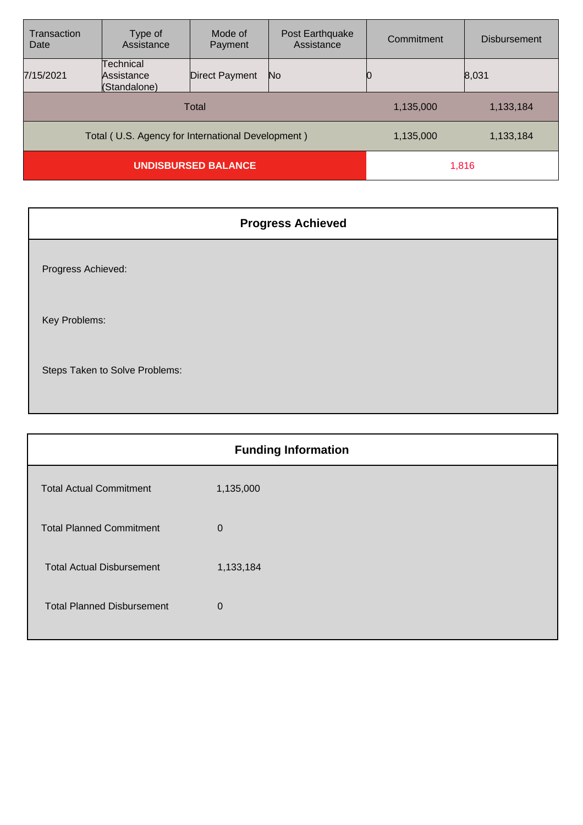| Transaction<br>Date                               | Type of<br>Assistance                   | Mode of<br>Payment | Post Earthquake<br>Assistance | Commitment | <b>Disbursement</b> |
|---------------------------------------------------|-----------------------------------------|--------------------|-------------------------------|------------|---------------------|
| 7/15/2021                                         | Technical<br>Assistance<br>(Standalone) | Direct Payment     | No.                           |            | 8,031               |
|                                                   |                                         | <b>Total</b>       |                               | 1,135,000  | 1,133,184           |
| Total (U.S. Agency for International Development) |                                         |                    |                               | 1,135,000  | 1,133,184           |
| <b>UNDISBURSED BALANCE</b>                        |                                         |                    | 1,816                         |            |                     |

| <b>Progress Achieved</b>       |
|--------------------------------|
| Progress Achieved:             |
| Key Problems:                  |
| Steps Taken to Solve Problems: |

| <b>Funding Information</b> |  |  |
|----------------------------|--|--|
| 1,135,000                  |  |  |
| 0                          |  |  |
| 1,133,184                  |  |  |
| $\Omega$                   |  |  |
|                            |  |  |